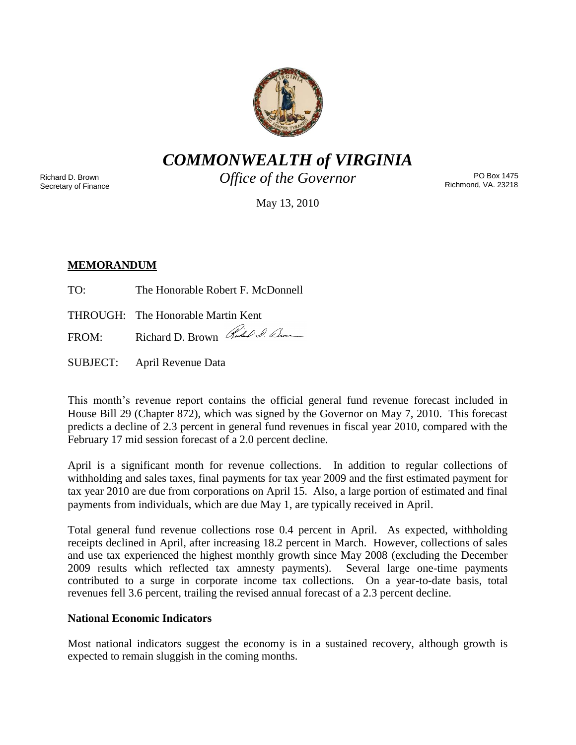

*COMMONWEALTH of VIRGINIA*

Richard D. Brown Secretary of Finance *Office of the Governor*

PO Box 1475 Richmond, VA. 23218

May 13, 2010

# **MEMORANDUM**

- TO: The Honorable Robert F. McDonnell
- THROUGH: The Honorable Martin Kent

FROM: Richard D. Brown Red & Com

SUBJECT: April Revenue Data

This month's revenue report contains the official general fund revenue forecast included in House Bill 29 (Chapter 872), which was signed by the Governor on May 7, 2010. This forecast predicts a decline of 2.3 percent in general fund revenues in fiscal year 2010, compared with the February 17 mid session forecast of a 2.0 percent decline.

April is a significant month for revenue collections. In addition to regular collections of withholding and sales taxes, final payments for tax year 2009 and the first estimated payment for tax year 2010 are due from corporations on April 15. Also, a large portion of estimated and final payments from individuals, which are due May 1, are typically received in April.

Total general fund revenue collections rose 0.4 percent in April. As expected, withholding receipts declined in April, after increasing 18.2 percent in March. However, collections of sales and use tax experienced the highest monthly growth since May 2008 (excluding the December 2009 results which reflected tax amnesty payments). Several large one-time payments contributed to a surge in corporate income tax collections. On a year-to-date basis, total revenues fell 3.6 percent, trailing the revised annual forecast of a 2.3 percent decline.

## **National Economic Indicators**

Most national indicators suggest the economy is in a sustained recovery, although growth is expected to remain sluggish in the coming months.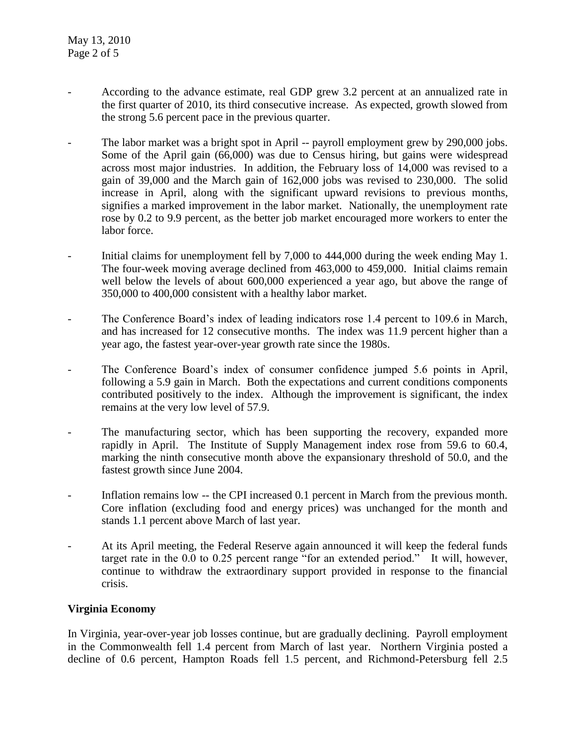- According to the advance estimate, real GDP grew 3.2 percent at an annualized rate in the first quarter of 2010, its third consecutive increase. As expected, growth slowed from the strong 5.6 percent pace in the previous quarter.
- The labor market was a bright spot in April -- payroll employment grew by 290,000 jobs. Some of the April gain (66,000) was due to Census hiring, but gains were widespread across most major industries. In addition, the February loss of 14,000 was revised to a gain of 39,000 and the March gain of 162,000 jobs was revised to 230,000. The solid increase in April, along with the significant upward revisions to previous months, signifies a marked improvement in the labor market. Nationally, the unemployment rate rose by 0.2 to 9.9 percent, as the better job market encouraged more workers to enter the labor force.
- Initial claims for unemployment fell by 7,000 to 444,000 during the week ending May 1. The four-week moving average declined from 463,000 to 459,000. Initial claims remain well below the levels of about 600,000 experienced a year ago, but above the range of 350,000 to 400,000 consistent with a healthy labor market.
- The Conference Board's index of leading indicators rose 1.4 percent to 109.6 in March, and has increased for 12 consecutive months. The index was 11.9 percent higher than a year ago, the fastest year-over-year growth rate since the 1980s.
- The Conference Board's index of consumer confidence jumped 5.6 points in April, following a 5.9 gain in March. Both the expectations and current conditions components contributed positively to the index. Although the improvement is significant, the index remains at the very low level of 57.9.
- The manufacturing sector, which has been supporting the recovery, expanded more rapidly in April. The Institute of Supply Management index rose from 59.6 to 60.4, marking the ninth consecutive month above the expansionary threshold of 50.0, and the fastest growth since June 2004.
- Inflation remains low -- the CPI increased 0.1 percent in March from the previous month. Core inflation (excluding food and energy prices) was unchanged for the month and stands 1.1 percent above March of last year.
- At its April meeting, the Federal Reserve again announced it will keep the federal funds target rate in the 0.0 to 0.25 percent range "for an extended period." It will, however, continue to withdraw the extraordinary support provided in response to the financial crisis.

## **Virginia Economy**

In Virginia, year-over-year job losses continue, but are gradually declining. Payroll employment in the Commonwealth fell 1.4 percent from March of last year. Northern Virginia posted a decline of 0.6 percent, Hampton Roads fell 1.5 percent, and Richmond-Petersburg fell 2.5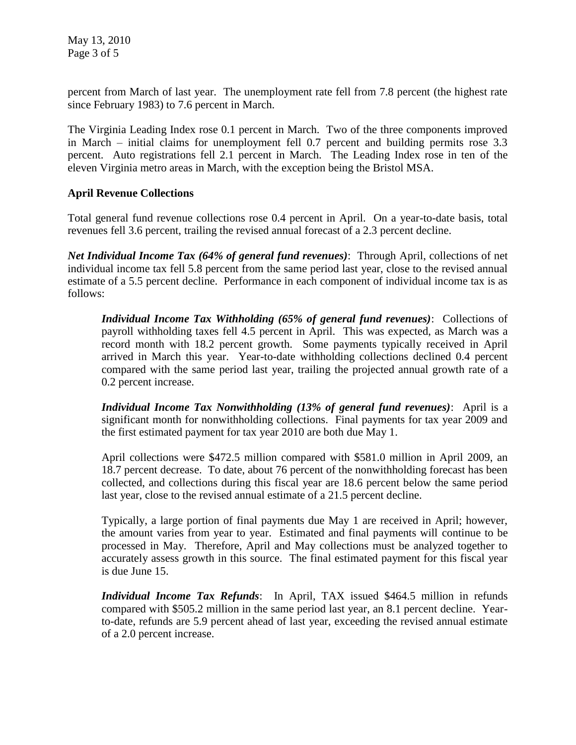May 13, 2010 Page 3 of 5

percent from March of last year. The unemployment rate fell from 7.8 percent (the highest rate since February 1983) to 7.6 percent in March.

The Virginia Leading Index rose 0.1 percent in March. Two of the three components improved in March – initial claims for unemployment fell 0.7 percent and building permits rose 3.3 percent. Auto registrations fell 2.1 percent in March. The Leading Index rose in ten of the eleven Virginia metro areas in March, with the exception being the Bristol MSA.

#### **April Revenue Collections**

Total general fund revenue collections rose 0.4 percent in April. On a year-to-date basis, total revenues fell 3.6 percent, trailing the revised annual forecast of a 2.3 percent decline.

*Net Individual Income Tax (64% of general fund revenues)*: Through April, collections of net individual income tax fell 5.8 percent from the same period last year, close to the revised annual estimate of a 5.5 percent decline. Performance in each component of individual income tax is as follows:

*Individual Income Tax Withholding (65% of general fund revenues)*: Collections of payroll withholding taxes fell 4.5 percent in April. This was expected, as March was a record month with 18.2 percent growth. Some payments typically received in April arrived in March this year. Year-to-date withholding collections declined 0.4 percent compared with the same period last year, trailing the projected annual growth rate of a 0.2 percent increase.

*Individual Income Tax Nonwithholding (13% of general fund revenues)*: April is a significant month for nonwithholding collections. Final payments for tax year 2009 and the first estimated payment for tax year 2010 are both due May 1.

April collections were \$472.5 million compared with \$581.0 million in April 2009, an 18.7 percent decrease. To date, about 76 percent of the nonwithholding forecast has been collected, and collections during this fiscal year are 18.6 percent below the same period last year, close to the revised annual estimate of a 21.5 percent decline.

Typically, a large portion of final payments due May 1 are received in April; however, the amount varies from year to year. Estimated and final payments will continue to be processed in May. Therefore, April and May collections must be analyzed together to accurately assess growth in this source. The final estimated payment for this fiscal year is due June 15.

*Individual Income Tax Refunds*: In April, TAX issued \$464.5 million in refunds compared with \$505.2 million in the same period last year, an 8.1 percent decline. Yearto-date, refunds are 5.9 percent ahead of last year, exceeding the revised annual estimate of a 2.0 percent increase.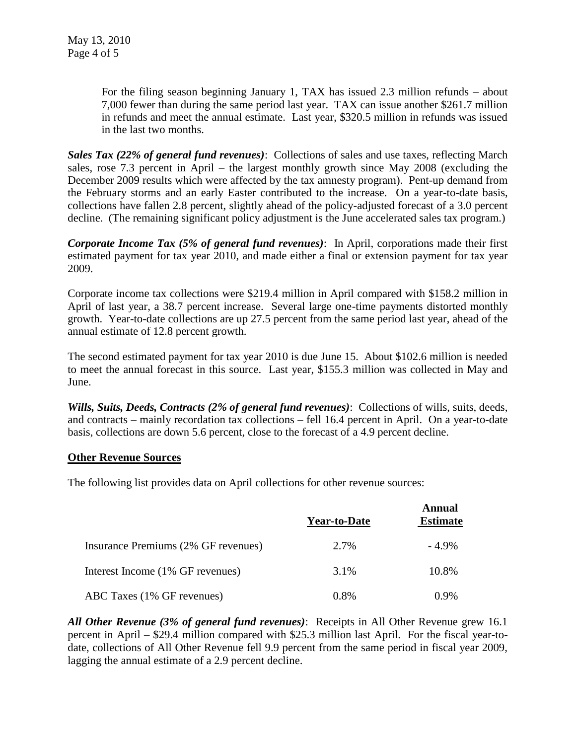For the filing season beginning January 1, TAX has issued 2.3 million refunds – about 7,000 fewer than during the same period last year. TAX can issue another \$261.7 million in refunds and meet the annual estimate. Last year, \$320.5 million in refunds was issued in the last two months.

*Sales Tax (22% of general fund revenues)*: Collections of sales and use taxes, reflecting March sales, rose 7.3 percent in April – the largest monthly growth since May 2008 (excluding the December 2009 results which were affected by the tax amnesty program). Pent-up demand from the February storms and an early Easter contributed to the increase. On a year-to-date basis, collections have fallen 2.8 percent, slightly ahead of the policy-adjusted forecast of a 3.0 percent decline. (The remaining significant policy adjustment is the June accelerated sales tax program.)

*Corporate Income Tax (5% of general fund revenues)*: In April, corporations made their first estimated payment for tax year 2010, and made either a final or extension payment for tax year 2009.

Corporate income tax collections were \$219.4 million in April compared with \$158.2 million in April of last year, a 38.7 percent increase. Several large one-time payments distorted monthly growth. Year-to-date collections are up 27.5 percent from the same period last year, ahead of the annual estimate of 12.8 percent growth.

The second estimated payment for tax year 2010 is due June 15. About \$102.6 million is needed to meet the annual forecast in this source. Last year, \$155.3 million was collected in May and June.

*Wills, Suits, Deeds, Contracts (2% of general fund revenues)*: Collections of wills, suits, deeds, and contracts – mainly recordation tax collections – fell 16.4 percent in April. On a year-to-date basis, collections are down 5.6 percent, close to the forecast of a 4.9 percent decline.

#### **Other Revenue Sources**

The following list provides data on April collections for other revenue sources:

|                                     | <b>Year-to-Date</b> | <b>Annual</b><br><b>Estimate</b> |
|-------------------------------------|---------------------|----------------------------------|
| Insurance Premiums (2% GF revenues) | 2.7%                | $-4.9\%$                         |
| Interest Income (1% GF revenues)    | 3.1%                | 10.8%                            |
| ABC Taxes (1% GF revenues)          | 0.8%                | $0.9\%$                          |

*All Other Revenue (3% of general fund revenues)*: Receipts in All Other Revenue grew 16.1 percent in April – \$29.4 million compared with \$25.3 million last April. For the fiscal year-todate, collections of All Other Revenue fell 9.9 percent from the same period in fiscal year 2009, lagging the annual estimate of a 2.9 percent decline.